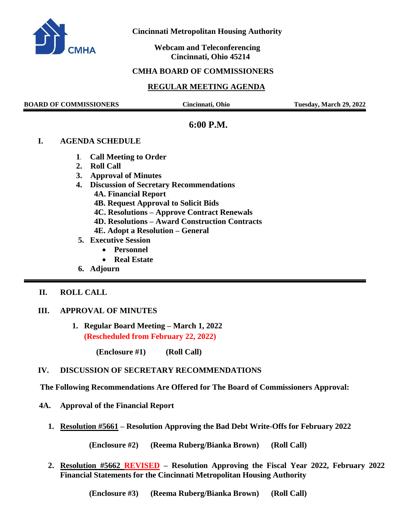

 **Cincinnati Metropolitan Housing Authority**

 **Webcam and Teleconferencing Cincinnati, Ohio 45214**

## **CMHA BOARD OF COMMISSIONERS**

# **REGULAR MEETING AGENDA**

**BOARD OF COMMISSIONERS Cincinnati, Ohio Tuesday, March 29, 2022**

# **6:00 P.M.**

#### **I. AGENDA SCHEDULE**

- **1. Call Meeting to Order**
- **2. Roll Call**
- **3. Approval of Minutes**
- **4. Discussion of Secretary Recommendations 4A. Financial Report 4B. Request Approval to Solicit Bids 4C. Resolutions – Approve Contract Renewals 4D. Resolutions – Award Construction Contracts 4E. Adopt a Resolution – General**
- **5. Executive Session**
	- **Personnel**
	- **Real Estate**
- **6. Adjourn**

#### **II. ROLL CALL**

#### **III. APPROVAL OF MINUTES**

**1. Regular Board Meeting – March 1, 2022 (Rescheduled from February 22, 2022)**

**(Enclosure #1) (Roll Call)** 

## **IV. DISCUSSION OF SECRETARY RECOMMENDATIONS**

 **The Following Recommendations Are Offered for The Board of Commissioners Approval:**

- **4A. Approval of the Financial Report** 
	- **1. Resolution #5661 – Resolution Approving the Bad Debt Write-Offs for February 2022**

**(Enclosure #2) (Reema Ruberg/Bianka Brown) (Roll Call)**

**2. Resolution #5662 REVISED – Resolution Approving the Fiscal Year 2022, February 2022 Financial Statements for the Cincinnati Metropolitan Housing Authority**

**(Enclosure #3) (Reema Ruberg/Bianka Brown) (Roll Call)**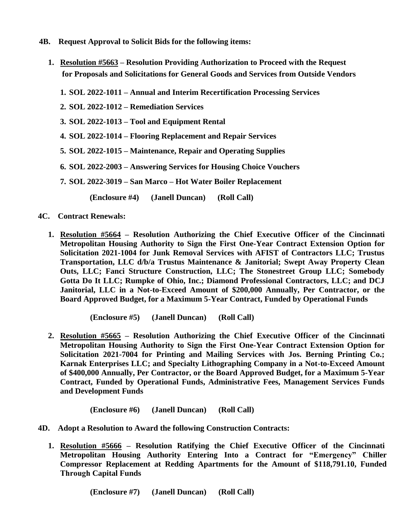- **4B. Request Approval to Solicit Bids for the following items:** 
	- **1. Resolution #5663 – Resolution Providing Authorization to Proceed with the Request for Proposals and Solicitations for General Goods and Services from Outside Vendors**
		- **1. SOL 2022-1011 – Annual and Interim Recertification Processing Services**
		- **2. SOL 2022-1012 – Remediation Services**
		- **3. SOL 2022-1013 – Tool and Equipment Rental**
		- **4. SOL 2022-1014 – Flooring Replacement and Repair Services**
		- **5. SOL 2022-1015 – Maintenance, Repair and Operating Supplies**
		- **6. SOL 2022-2003 – Answering Services for Housing Choice Vouchers**
		- **7. SOL 2022-3019 – San Marco – Hot Water Boiler Replacement**
			- **(Enclosure #4) (Janell Duncan) (Roll Call)**
- **4C. Contract Renewals:**
	- **1. Resolution #5664 – Resolution Authorizing the Chief Executive Officer of the Cincinnati Metropolitan Housing Authority to Sign the First One-Year Contract Extension Option for Solicitation 2021-1004 for Junk Removal Services with AFIST of Contractors LLC; Trustus Transportation, LLC d/b/a Trustus Maintenance & Janitorial; Swept Away Property Clean Outs, LLC; Fanci Structure Construction, LLC; The Stonestreet Group LLC; Somebody Gotta Do It LLC; Rumpke of Ohio, Inc.; Diamond Professional Contractors, LLC; and DCJ Janitorial, LLC in a Not-to-Exceed Amount of \$200,000 Annually, Per Contractor, or the Board Approved Budget, for a Maximum 5-Year Contract, Funded by Operational Funds**

 **(Enclosure #5) (Janell Duncan) (Roll Call)**

**2. Resolution #5665 – Resolution Authorizing the Chief Executive Officer of the Cincinnati Metropolitan Housing Authority to Sign the First One-Year Contract Extension Option for Solicitation 2021-7004 for Printing and Mailing Services with Jos. Berning Printing Co.; Karnak Enterprises LLC; and Specialty Lithographing Company in a Not-to-Exceed Amount of \$400,000 Annually, Per Contractor, or the Board Approved Budget, for a Maximum 5-Year Contract, Funded by Operational Funds, Administrative Fees, Management Services Funds and Development Funds**

 **(Enclosure #6) (Janell Duncan) (Roll Call)**

- **4D. Adopt a Resolution to Award the following Construction Contracts:**
	- **1. Resolution #5666 – Resolution Ratifying the Chief Executive Officer of the Cincinnati Metropolitan Housing Authority Entering Into a Contract for "Emergency" Chiller Compressor Replacement at Redding Apartments for the Amount of \$118,791.10, Funded Through Capital Funds**

 **(Enclosure #7) (Janell Duncan) (Roll Call)**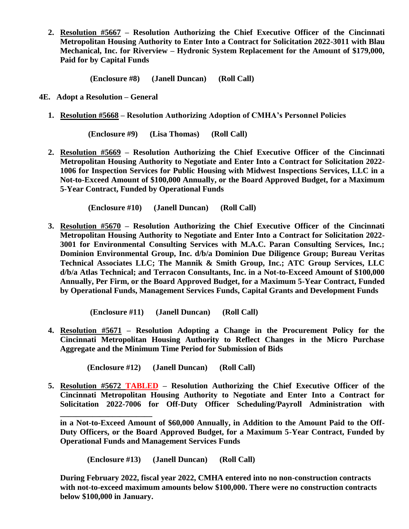**2. Resolution #5667 – Resolution Authorizing the Chief Executive Officer of the Cincinnati Metropolitan Housing Authority to Enter Into a Contract for Solicitation 2022-3011 with Blau Mechanical, Inc. for Riverview – Hydronic System Replacement for the Amount of \$179,000, Paid for by Capital Funds**

 **(Enclosure #8) (Janell Duncan) (Roll Call)**

 **4E. Adopt a Resolution – General**

**\_\_\_\_\_\_\_\_\_\_\_\_\_\_\_\_\_\_\_\_\_\_\_**

**1. Resolution #5668 – Resolution Authorizing Adoption of CMHA's Personnel Policies**

 **(Enclosure #9) (Lisa Thomas) (Roll Call)**

**2. Resolution #5669 – Resolution Authorizing the Chief Executive Officer of the Cincinnati Metropolitan Housing Authority to Negotiate and Enter Into a Contract for Solicitation 2022- 1006 for Inspection Services for Public Housing with Midwest Inspections Services, LLC in a Not-to-Exceed Amount of \$100,000 Annually, or the Board Approved Budget, for a Maximum 5-Year Contract, Funded by Operational Funds**

 **(Enclosure #10) (Janell Duncan) (Roll Call)**

**3. Resolution #5670 – Resolution Authorizing the Chief Executive Officer of the Cincinnati Metropolitan Housing Authority to Negotiate and Enter Into a Contract for Solicitation 2022- 3001 for Environmental Consulting Services with M.A.C. Paran Consulting Services, Inc.; Dominion Environmental Group, Inc. d/b/a Dominion Due Diligence Group; Bureau Veritas Technical Associates LLC; The Mannik & Smith Group, Inc.; ATC Group Services, LLC d/b/a Atlas Technical; and Terracon Consultants, Inc. in a Not-to-Exceed Amount of \$100,000 Annually, Per Firm, or the Board Approved Budget, for a Maximum 5-Year Contract, Funded by Operational Funds, Management Services Funds, Capital Grants and Development Funds**

**(Enclosure #11) (Janell Duncan) (Roll Call)**

**4. Resolution #5671 – Resolution Adopting a Change in the Procurement Policy for the Cincinnati Metropolitan Housing Authority to Reflect Changes in the Micro Purchase Aggregate and the Minimum Time Period for Submission of Bids**

 **(Enclosure #12) (Janell Duncan) (Roll Call)**

**5. Resolution #5672 TABLED – Resolution Authorizing the Chief Executive Officer of the Cincinnati Metropolitan Housing Authority to Negotiate and Enter Into a Contract for Solicitation 2022-7006 for Off-Duty Officer Scheduling/Payroll Administration with** 

**in a Not-to-Exceed Amount of \$60,000 Annually, in Addition to the Amount Paid to the Off-Duty Officers, or the Board Approved Budget, for a Maximum 5-Year Contract, Funded by Operational Funds and Management Services Funds**

 **(Enclosure #13) (Janell Duncan) (Roll Call)**

**During February 2022, fiscal year 2022, CMHA entered into no non-construction contracts with not-to-exceed maximum amounts below \$100,000. There were no construction contracts below \$100,000 in January.**